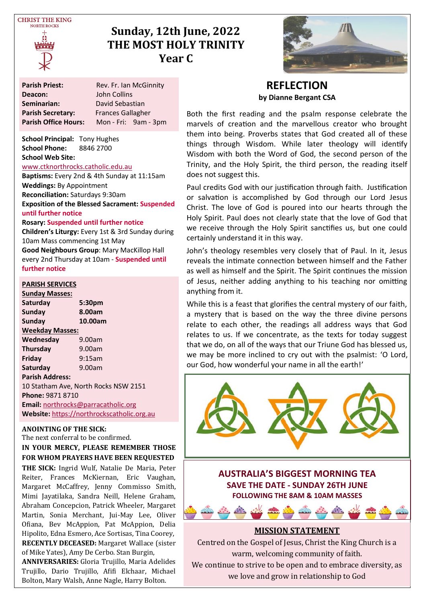

# **Sunday, 12th June, 2022 THE MOST HOLY TRINITY Year C**



**School Principal:** Tony Hughes **School Phone:** 8846 2700 **School Web Site:** 

#### [www.ctknorthrocks.catholic.edu.au](http://www.ctknorthrocks.catholic.edu.au)

**Baptisms:** Every 2nd & 4th Sunday at 11:15am **Weddings:** By Appointment **Reconciliation:** Saturdays 9:30am **Exposition of the Blessed Sacrament: Suspended until further notice**

#### **Rosary: Suspended until further notice**

**Children's Liturgy:** Every 1st & 3rd Sunday during 10am Mass commencing 1st May **Good Neighbours Group**: Mary MacKillop Hall every 2nd Thursday at 10am - **Suspended until further notice**

#### **PARISH SERVICES**

**Sunday Masses: Saturday 5:30pm** Sunday **Sunday 10.00am Weekday Masses: Wednesday** 9.00am **Thursday** 9.00am **Friday** 9:15am **Saturday** 9.00am **Parish Address:** 10 Statham Ave, North Rocks NSW 2151 **Phone:** 9871 8710 **Email:** [northrocks@parracatholic.org](mailto:northrocks@parracatholic.org) **Website:** [https://northrockscatholic.org.au](https://northrockscatholic.org.au/)

#### **ANOINTING OF THE SICK:**

The next conferral to be confirmed. **IN YOUR MERCY, PLEASE REMEMBER THOSE FOR WHOM PRAYERS HAVE BEEN REQUESTED THE SICK:** Ingrid Wulf, Natalie De Maria, Peter Reiter, Frances McKiernan, Eric Vaughan, Margaret McCaffrey, Jenny Commisso Smith,

Mimi Jayatilaka, Sandra Neill, Helene Graham, Abraham Concepcion, Patrick Wheeler, Margaret Martin, Sonia Merchant, Jui-May Lee, Oliver Ofiana, Bev McAppion, Pat McAppion, Delia Hipolito, Edna Esmero, Ace Sortisas, Tina Coorey, **RECENTLY DECEASED:** Margaret Wallace (sister of Mike Yates), Amy De Cerbo. Stan Burgin,

**ANNIVERSARIES:** Gloria Trujillo, Maria Adelides Trujillo, Dario Trujillo, Afifi Elchaar, Michael Bolton, Mary Walsh, Anne Nagle, Harry Bolton.



### **REFLECTION by Dianne Bergant CSA**

Both the first reading and the psalm response celebrate the marvels of creation and the marvellous creator who brought them into being. Proverbs states that God created all of these things through Wisdom. While later theology will identify Wisdom with both the Word of God, the second person of the Trinity, and the Holy Spirit, the third person, the reading itself does not suggest this.

Paul credits God with our justification through faith. Justification or salvation is accomplished by God through our Lord Jesus Christ. The love of God is poured into our hearts through the Holy Spirit. Paul does not clearly state that the love of God that we receive through the Holy Spirit sanctifies us, but one could certainly understand it in this way.

John's theology resembles very closely that of Paul. In it, Jesus reveals the intimate connection between himself and the Father as well as himself and the Spirit. The Spirit continues the mission of Jesus, neither adding anything to his teaching nor omitting anything from it.

While this is a feast that glorifies the central mystery of our faith, a mystery that is based on the way the three divine persons relate to each other, the readings all address ways that God relates to us. If we concentrate, as the texts for today suggest that we do, on all of the ways that our Triune God has blessed us, we may be more inclined to cry out with the psalmist: 'O Lord, our God, how wonderful your name in all the earth!'



**FOLLOWING THE 8AM & 10AM MASSES**

#### **MISSION STATEMENT**

Centred on the Gospel of Jesus, Christ the King Church is a warm, welcoming community of faith.

We continue to strive to be open and to embrace diversity, as we love and grow in relationship to God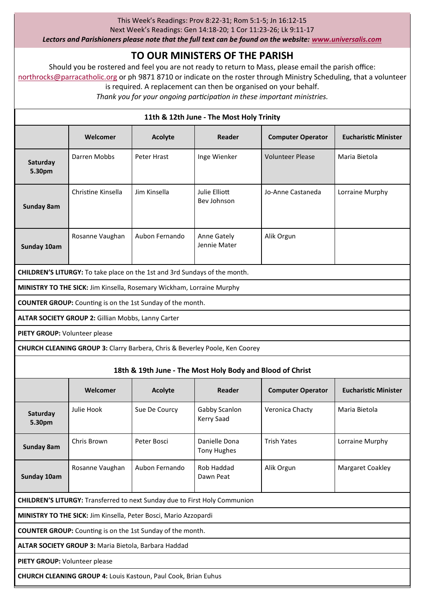#### This Week's Readings: Prov 8:22-31; Rom 5:1-5; Jn 16:12-15

Next Week's Readings: Gen 14:18-20; 1 Cor 11:23-26; Lk 9:11-17

*Lectors and Parishioners please note that the full text can be found on the website: [www.universalis.com](http://www.universalis.com)*

# **TO OUR MINISTERS OF THE PARISH**

Should you be rostered and feel you are not ready to return to Mass, please email the parish office: [northrocks@parracatholic.org](mailto:northrocks@parracatholic.org) or ph 9871 8710 or indicate on the roster through Ministry Scheduling, that a volunteer

is required. A replacement can then be organised on your behalf.

*Thank you for your ongoing participation in these important ministries.*

# **11th & 12th June - The Most Holy Trinity Welcomer Acolyte Reader Computer Operator Eucharistic Minister Saturday 5.30pm** Darren Mobbs Peter Hrast Inge Wienker Volunteer Please Maria Bietola **Sunday 8am** Christine Kinsella Jim Kinsella Julie Elliott Bev Johnson Jo-Anne Castaneda Lorraine Murphy **Sunday 10am** Rosanne Vaughan | Aubon Fernando | Anne Gately Jennie Mater Alik Orgun **CHILDREN'S LITURGY:** To take place on the 1st and 3rd Sundays of the month. **MINISTRY TO THE SICK:** Jim Kinsella, Rosemary Wickham, Lorraine Murphy **COUNTER GROUP:** Counting is on the 1st Sunday of the month. **ALTAR SOCIETY GROUP 2:** Gillian Mobbs, Lanny Carter **PIETY GROUP:** Volunteer please **CHURCH CLEANING GROUP 3:** Clarry Barbera, Chris & Beverley Poole, Ken Coorey **18th & 19th June - The Most Holy Body and Blood of Christ Welcomer Acolyte Reader Computer Operator Eucharistic Minister Saturday 5.30pm** Julie Hook Sue De Courcy Gabby Scanlon Kerry Saad Veronica Chacty Maria Bietola **Sunday 8am** Chris Brown Peter Bosci Danielle Dona Tony Hughes Trish Yates Lorraine Murphy **Sunday 10am** Rosanne Vaughan Aubon Fernando Rob Haddad Dawn Peat Alik Orgun Margaret Coakley **CHILDREN'S LITURGY:** Transferred to next Sunday due to First Holy Communion **MINISTRY TO THE SICK:** Jim Kinsella, Peter Bosci, Mario Azzopardi **COUNTER GROUP:** Counting is on the 1st Sunday of the month. **ALTAR SOCIETY GROUP 3:** Maria Bietola, Barbara Haddad **PIETY GROUP:** Volunteer please **CHURCH CLEANING GROUP 4:** Louis Kastoun, Paul Cook, Brian Euhus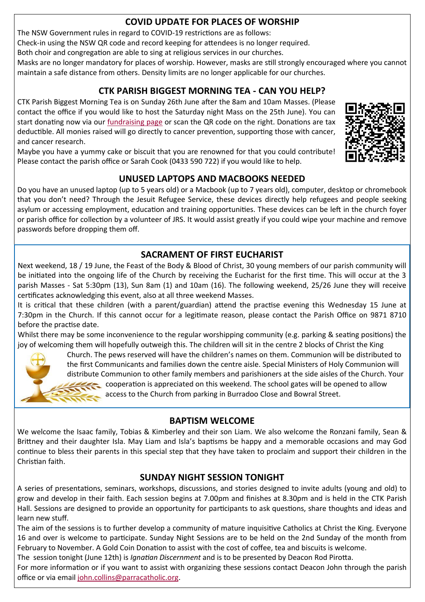# **COVID UPDATE FOR PLACES OF WORSHIP**

The NSW Government rules in regard to COVID-19 restrictions are as follows:

Check-in using the NSW QR code and record keeping for attendees is no longer required.

Both choir and congregation are able to sing at religious services in our churches.

Masks are no longer mandatory for places of worship. However, masks are still strongly encouraged where you cannot maintain a safe distance from others. Density limits are no longer applicable for our churches.

# **CTK PARISH BIGGEST MORNING TEA - CAN YOU HELP?**

CTK Parish Biggest Morning Tea is on Sunday 26th June after the 8am and 10am Masses. (Please contact the office if you would like to host the Saturday night Mass on the 25th June). You can start donating now via our [fundraising page](https://www.biggestmorningtea.com.au/fundraisers/ctk44027/biggest-morning-tea-nsw) or scan the QR code on the right. Donations are tax deductible. All monies raised will go directly to cancer prevention, supporting those with cancer, and cancer research.



# **UNUSED LAPTOPS AND MACBOOKS NEEDED**

Do you have an unused laptop (up to 5 years old) or a Macbook (up to 7 years old), computer, desktop or chromebook that you don't need? Through the Jesuit Refugee Service, these devices directly help refugees and people seeking asylum or accessing employment, education and training opportunities. These devices can be left in the church foyer or parish office for collection by a volunteer of JRS. It would assist greatly if you could wipe your machine and remove passwords before dropping them off.

# **SACRAMENT OF FIRST EUCHARIST**

Next weekend, 18 / 19 June, the Feast of the Body & Blood of Christ, 30 young members of our parish community will be initiated into the ongoing life of the Church by receiving the Eucharist for the first time. This will occur at the 3 parish Masses - Sat 5:30pm (13), Sun 8am (1) and 10am (16). The following weekend, 25/26 June they will receive certificates acknowledging this event, also at all three weekend Masses.

It is critical that these children (with a parent/guardian) attend the practise evening this Wednesday 15 June at 7:30pm in the Church. If this cannot occur for a legitimate reason, please contact the Parish Office on 9871 8710 before the practise date.

Whilst there may be some inconvenience to the regular worshipping community (e.g. parking & seating positions) the joy of welcoming them will hopefully outweigh this. The children will sit in the centre 2 blocks of Christ the King



 Church. The pews reserved will have the children's names on them. Communion will be distributed to the first Communicants and families down the centre aisle. Special Ministers of Holy Communion will distribute Communion to other family members and parishioners at the side aisles of the Church. Your cooperation is appreciated on this weekend. The school gates will be opened to allow access to the Church from parking in Burradoo Close and Bowral Street.

### **BAPTISM WELCOME**

We welcome the Isaac family, Tobias & Kimberley and their son Liam. We also welcome the Ronzani family, Sean & Brittney and their daughter Isla. May Liam and Isla's baptisms be happy and a memorable occasions and may God continue to bless their parents in this special step that they have taken to proclaim and support their children in the Christian faith.

# **SUNDAY NIGHT SESSION TONIGHT**

A series of presentations, seminars, workshops, discussions, and stories designed to invite adults (young and old) to grow and develop in their faith. Each session begins at 7.00pm and finishes at 8.30pm and is held in the CTK Parish Hall. Sessions are designed to provide an opportunity for participants to ask questions, share thoughts and ideas and learn new stuff.

The aim of the sessions is to further develop a community of mature inquisitive Catholics at Christ the King. Everyone 16 and over is welcome to participate. Sunday Night Sessions are to be held on the 2nd Sunday of the month from February to November. A Gold Coin Donation to assist with the cost of coffee, tea and biscuits is welcome.

The session tonight (June 12th) is *Ignatian Discernment* and is to be presented by Deacon Rod Pirotta.

For more information or if you want to assist with organizing these sessions contact Deacon John through the parish office or via email [john.collins@parracatholic.org.](mailto:john.collins@parracatholic.org)